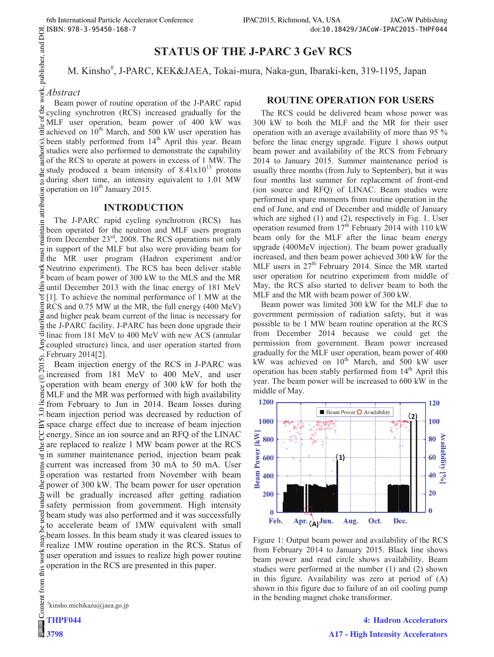# **STATUS OF THE J-PARC 3 GeV RCS**

M. Kinsho<sup>#</sup> M. Kinsho<sup>#</sup>, J-PARC, KEK&JAEA, Tokai-mura, Naka-gun, Ibaraki-ken, 319-1195, Japan

## *Abstract*

Beam power of routine operation of the J-PARC rapid of the cycling synchrotron (RCS) increased gradually for the MLF user operation, beam power of 400 kW was  $\frac{3}{2}$  achieved on 10<sup>th</sup> March, and 500 kW user operation has  $\hat{\infty}$ been stably performed from 14<sup>th</sup> April this year. Beam studies were also performed to demonstrate the capability of the RCS to operate at powers in excess of 1 MW. The  $\approx$  study produced a beam intensity of 8.41x10<sup>13</sup> protons during short time, an intensity equivalent to 1.01 MW operation on  $10^{th}$  January 2015.

### **INTRODUCTION**

 2015). Any distribution of this work must maintain attribution to the author(s), title of the work, publisher, and DOI. attribution The J-PARC rapid cycling synchrotron (RCS) has been operated for the neutron and MLF users program from December 23<sup>rd</sup>, 2008. The RCS operations not only in support of the MLF but also were providing beam for the MR user program (Hadron experiment and/or Neutrino experiment). The RCS has been deliver stable beam of beam power of 300 kW to the MLS and the MR  $\frac{3}{2}$  until December 2013 with the linac energy of 181 MeV  $\overline{5}$ [1]. To achieve the nominal performance of 1 MW at the RCS and 0.75 MW at the MR, the full energy (400 MeV) 這 and higher peak beam current of the linac is necessary for  $\frac{1}{5}$  the J-PARC facility. J-PARC has been done upgrade their  $\frac{1}{5}$  linac from 181 MeV to 400 MeV with new ACS (annular linac from 181 MeV to 400 MeV with new ACS (annular coupled structure) linca, and user operation started from February 2014[2]. 5).

Beam injection energy of the RCS in J-PARC was  $\overline{20}$ increased from 181 MeV to 400 MeV, and user ©Content from this work may be used under the terms of the CC BY 3.0 licence ( $\epsilon$ operation with beam energy of 300 kW for both the licence MLF and the MR was performed with high availability from February to Jun in 2014. Beam losses during  $\frac{1}{2}$  beam injection period was decreased by reduction of  $\approx$  space charge effect due to increase of beam injection energy. Since an ion source and an RFQ of the LINAC are replaced to realize 1 MW beam power at the RCS  $\overline{\epsilon}$  in summer maintenance period, injection beam peak current was increased from 30 mA to 50 mA. User operation was restarted from November with beam power of 300 kW. The beam power for user operation will be gradually increased after getting radiation safety permission from government. High intensity beam study was also performed and it was successfully to accelerate beam of 1MW equivalent with small  $\mathcal{S}$ beam losses. In this beam study it was cleared issues to may realize 1MW routine operation in the RCS. Status of work user operation and issues to realize high power routine operation in the RCS are presented in this paper.



**THPF044**  $\circledcirc$ **3798**

### **ROUTINE OPERATION FOR USERS**

The RCS could be delivered beam whose power was 300 kW to both the MLF and the MR for their user operation with an average availability of more than 95 % before the linac energy upgrade. Figure 1 shows output beam power and availability of the RCS from February 2014 to January 2015. Summer maintenance period is usually three months (from July to September), but it was four months last summer for replacement of front-end (ion source and RFQ) of LINAC. Beam studies were performed in spare moments from routine operation in the end of June, and end of December and middle of January which are sighed (1) and (2), respectively in Fig. 1. User operation resumed from  $17<sup>th</sup>$  February 2014 with 110 kW beam only for the MLF after the linac beam energy upgrade (400MeV injection). The beam power gradually increased, and then beam power achieved 300 kW for the MLF users in  $27<sup>th</sup>$  February 2014. Since the MR started user operation for neutrino experiment from middle of May, the RCS also started to deliver beam to both the MLF and the MR with beam power of 300 kW.

Beam power was limited 300 kW for the MLF due to government permission of radiation safety, but it was possible to be 1 MW beam routine operation at the RCS from December 2014 because we could get the permission from government. Beam power increased gradually for the MLF user operation, beam power of 400 kW was achieved on  $10^{th}$  March, and 500 kW user operation has been stably performed from  $14<sup>th</sup>$  April this year. The beam power will be increased to 600 kW in the middle of May.



Figure 1: Output beam power and availability of the RCS from February 2014 to January 2015. Black line shows beam power and read circle shows availability. Beam studies were performed at the number (1) and (2) shown in this figure. Availability was zero at period of (A) shown in this figure due to failure of an oil cooling pump in the bending magnet choke transformer.

**4: Hadron Accelerators A17 - High Intensity Accelerators**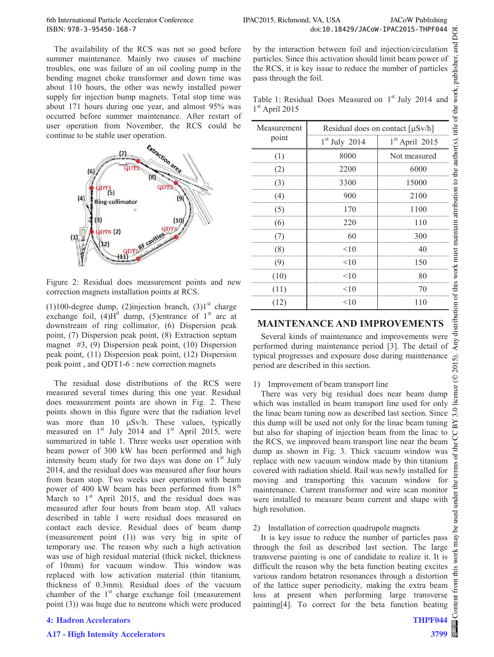The availability of the RCS was not so good before summer maintenance. Mainly two causes of machine troubles, one was failure of an oil cooling pump in the bending magnet choke transformer and down time was about 110 hours, the other was newly installed power supply for injection bump magnets. Total stop time was about 171 hours during one year, and almost 95% was occurred before summer maintenance. After restart of user operation from November, the RCS could be continue to be stable user operation.



Figure 2: Residual does measurement points and new correction magnets installation points at RCS.

(1)100-degree dump, (2)injection branch, (3)1<sup>st</sup> charge exchange foil,  $(4)H^0$  dump, (5)entrance of 1<sup>st</sup> arc at downstream of ring collimator, (6) Dispersion peak point, (7) Dispersion peak point, (8) Extraction septum magnet #3, (9) Dispersion peak point, (10) Dispersion peak point, (11) Dispersion peak point, (12) Dispersion peak point , and QDT1-6 : new correction magnets

The residual dose distributions of the RCS were measured several times during this one year. Residual does measurement points are shown in Fig. 2. These points shown in this figure were that the radiation level was more than  $10 \mu Sv/h$ . These values, typically measured on  $1<sup>st</sup>$  July 2014 and  $1<sup>st</sup>$  April 2015, were summarized in table 1. Three weeks user operation with beam power of 300 kW has been performed and high intensity beam study for two days was done on  $1<sup>st</sup>$  July 2014, and the residual does was measured after four hours from beam stop. Two weeks user operation with beam power of 400 kW beam has been performed from 18<sup>th</sup> March to  $1<sup>st</sup>$  April 2015, and the residual does was measured after four hours from beam stop. All values described in table 1 were residual does measured on contact each device. Residual does of beam dump (measurement point (1)) was very big in spite of temporary use. The reason why such a high activation was use of high residual material (thick nickel, thickness of 10mm) for vacuum window. This window was replaced with low activation material (thin titanium, thickness of 0.3mm). Residual does of the vacuum chamber of the  $1<sup>st</sup>$  charge exchange foil (measurement point (3)) was huge due to neutrons which were produced

#### **4: Hadron Accelerators**

#### **A17 - High Intensity Accelerators**

by the interaction between foil and injection/circulation particles. Since this activation should limit beam power of the RCS, it is key issue to reduce the number of particles pass through the foil.

Table 1: Residual Does Measured on  $1<sup>st</sup>$  July 2014 and  $1<sup>st</sup>$  April 2015

| Measurement<br>point | Residual does on contact $[\mu Sv/h]$ |                  |
|----------------------|---------------------------------------|------------------|
|                      | $1st$ July 2014                       | $1st$ April 2015 |
| (1)                  | 8000                                  | Not measured     |
| (2)                  | 2200                                  | 6000             |
| (3)                  | 3300                                  | 15000            |
| (4)                  | 900                                   | 2100             |
| (5)                  | 170                                   | 1100             |
| (6)                  | 220                                   | 110              |
| (7)                  | 60                                    | 300              |
| (8)                  | <10                                   | 40               |
| (9)                  | $<$ 10                                | 150              |
| (10)                 | <10                                   | 80               |
| (11)                 | <10                                   | 70               |
| (12)                 | < 10                                  | 110              |

## **MAINTENANCE AND IMPROVEMENTS**

Several kinds of maintenance and improvements were performed during maintenance period [3]. The detail of typical progresses and exposure dose during maintenance period are described in this section.

1) Improvement of beam transport line

There was very big residual does near beam dump which was installed in beam transport line used for only the linac beam tuning now as described last section. Since this dump will be used not only for the linac beam tuning but also for shaping of injection beam from the linac to the RCS, we improved beam transport line near the beam dump as shown in Fig. 3. Thick vacuum window was replace with new vacuum window made by thin titanium covered with radiation shield. Rail was newly installed for moving and transporting this vacuum window for maintenance. Current transformer and wire scan monitor were installed to measure beam current and shape with high resolution.

#### 2) Installation of correction quadrupole magnets

It is key issue to reduce the number of particles pass through the foil as described last section. The large transverse painting is one of candidate to realize it. It is difficult the reason why the beta function beating excites various random betatron resonances through a distortion of the lattice super periodicity, making the extra beam loss at present when performing large transverse painting[4]. To correct for the beta function beating

 $\mathop{\rm Content}\nolimits$